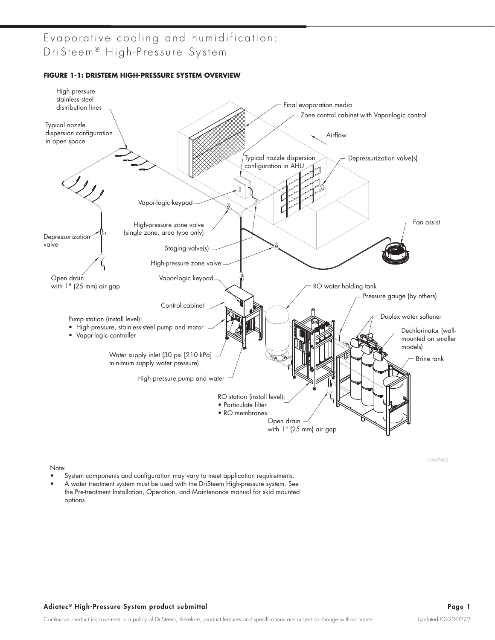**FIGURE 1-1: DRISTEEM HIGH-PRESSURE SYSTEM OVERVIEW**



OM-7901

Note:

- System components and configuration may vary to meet application requirements.
- A water treatment system must be used with the DriSteem High-pressure system. See the Pre-treatment Installation, Operation, and Maintenance manual for skid mounted options.

#### Adiatec® High-Pressure System product submittal and the state of the state of the state of the Page 1 and Page 1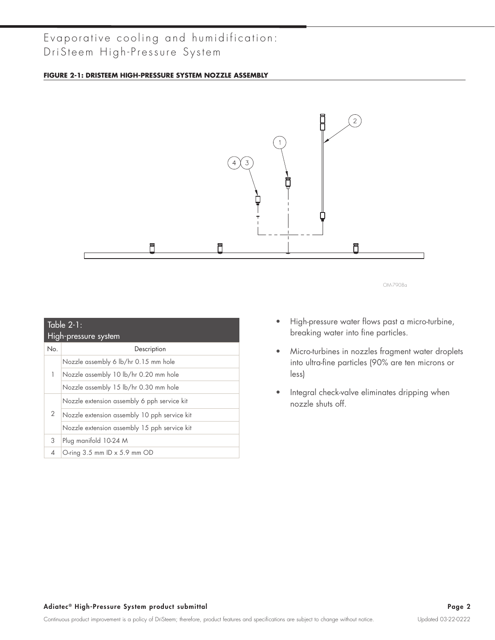#### **FIGURE 2-1: DRISTEEM HIGH-PRESSURE SYSTEM NOZZLE ASSEMBLY**



|     | $Table 2-1:$                                 |
|-----|----------------------------------------------|
|     | High-pressure system                         |
| No. | Description                                  |
|     | Nozzle assembly 6 lb/hr 0.15 mm hole         |
| 1   | Nozzle assembly 10 lb/hr 0.20 mm hole        |
|     | Nozzle assembly 15 lb/hr 0.30 mm hole        |
|     | Nozzle extension assembly 6 pph service kit  |
| 2   | Nozzle extension assembly 10 pph service kit |
|     | Nozzle extension assembly 15 pph service kit |
| 3   | Plug manifold 10-24 M                        |
| 4   | O-ring $3.5$ mm ID $\times$ 5.9 mm OD        |

- High-pressure water flows past a micro-turbine, breaking water into fine particles.
- Micro-turbines in nozzles fragment water droplets into ultra-fine particles (90% are ten microns or less)
- Integral check-valve eliminates dripping when nozzle shuts off.

#### Adiatec® High-Pressure System product submittal and the state of the state of the state of the Page 2 and the Page 2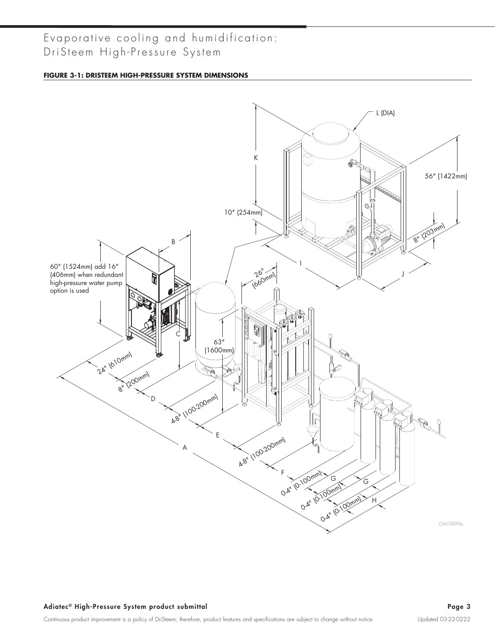#### **FIGURE 3-1: DRISTEEM HIGH-PRESSURE SYSTEM DIMENSIONS**

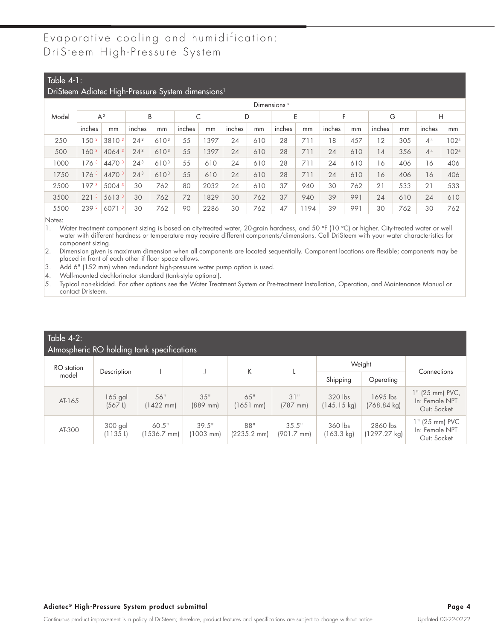#### Table 4-1:

#### DriSteem Adiatec High-Pressure System dimensions<sup>1</sup>

|       |                     | ∽                 |                 |                  |        |      |        |     | Dimensions <sup>5</sup> |     |        |     |        |     |                |      |
|-------|---------------------|-------------------|-----------------|------------------|--------|------|--------|-----|-------------------------|-----|--------|-----|--------|-----|----------------|------|
| Model |                     | $A^2$             |                 | B                | С      |      | D      |     | E                       |     | E      |     | G      |     | Н              |      |
|       | inches              | mm                | inches          | mm               | inches | mm   | inches | mm  | inches                  | mm  | inches | mm  | inches | mm  | inches         | mm   |
| 250   | 50 <sup>3</sup>     | 38103             | $24^{3}$        | 6103             | 55     | 397  | 24     | 610 | 28                      | 711 | 18     | 457 | 12     | 305 | 4 <sup>4</sup> | 1024 |
| 500   | 160 <sup>3</sup>    | 4064 3            | $24^{3}$        | 6103             | 55     | 397  | 24     | 610 | 28                      | 711 | 24     | 610 | 4      | 356 | 4 <sup>4</sup> | 1024 |
| 1000  | 1763                | 4470 3            | 24 <sup>3</sup> | 610 <sup>3</sup> | 55     | 610  | 24     | 610 | 28                      | 711 | 24     | 610 | 16     | 406 | 16             | 406  |
| 1750  | 176 <sup>3</sup>    | 4470 3            | 24 <sup>3</sup> | 6103             | 55     | 610  | 24     | 610 | 28                      | 711 | 24     | 610 | 16     | 406 | 16             | 406  |
| 2500  | 1973                | 5004 <sup>3</sup> | 30              | 762              | 80     | 2032 | 24     | 610 | 37                      | 940 | 30     | 762 | 21     | 533 | 21             | 533  |
| 3500  | $\mathbf{3}$<br>221 | 56133             | 30              | 762              | 72     | 829  | 30     | 762 | 37                      | 940 | 39     | 991 | 24     | 610 | 24             | 610  |
| 5500  | 239 <sup>3</sup>    | 60713             | 30              | 762              | 90     | 2286 | 30     | 762 | 47                      | 194 | 39     | 991 | 30     | 762 | 30             | 762  |

Notes:

1. Water treatment component sizing is based on city-treated water, 20-grain hardness, and 50 °F (10 °C) or higher. City-treated water or well water with different hardness or temperature may require different components/dimensions. Call DriSteem with your water characteristics for component sizing.

2. Dimension given is maximum dimension when all components are located sequentially. Component locations are flexible; components may be placed in front of each other if floor space allows.

3. Add 6" (152 mm) when redundant high-pressure water pump option is used.

4. Wall-mounted dechlorinator standard (tank-style optional).

5. Typical non-skidded. For other options see the Water Treatment System or Pre-treatment Installation, Operation, and Maintenance Manual or contact Dristeem.

| Table $4-2$ :<br>Atmospheric RO holding tank specifications |                           |                            |                                |                              |                               |                                  |                                    |                                                  |
|-------------------------------------------------------------|---------------------------|----------------------------|--------------------------------|------------------------------|-------------------------------|----------------------------------|------------------------------------|--------------------------------------------------|
| RO station                                                  | Description               |                            |                                | K                            |                               |                                  | Weight                             | Connections                                      |
| model                                                       |                           |                            |                                |                              |                               | Shipping                         | Operating                          |                                                  |
| AT-165                                                      | $165$ gal<br>$(567 \; L)$ | 56"<br>$(1422 \text{ mm})$ | 35"<br>$(889$ mm)              | 65"<br>$(1651$ mm)           | 31"<br>$(787$ mm)             | 320 lbs<br>$(145.15 \text{ kg})$ | 1695 lbs<br>$(768.84 \text{ kg})$  | 1" (25 mm) PVC,<br>In: Female NPT<br>Out: Socket |
| AT-300                                                      | 300 gal<br>(1135L)        | 60.5"<br>1536.7 mm)        | 39.5"<br>$(1003 \, \text{mm})$ | 88"<br>$(2235.2 \text{ mm})$ | 35.5"<br>$(901.7 \text{ mm})$ | 360 lbs<br>(163.3 kg)            | 2860 lbs<br>$(1297.27 \text{ kg})$ | 1" (25 mm) PVC<br>In: Female NPT<br>Out: Socket  |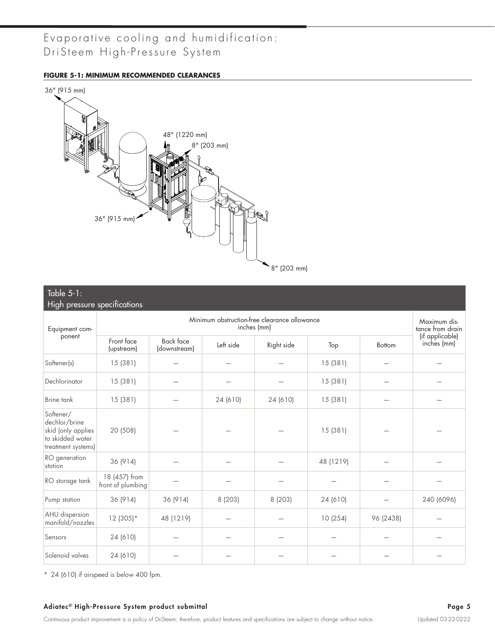#### **FIGURE 5-1: MINIMUM RECOMMENDED CLEARANCES**



#### Table 5-1:

| High pressure specifications                                                               |                                    |                                  |           |                                                             |           |               |                                  |
|--------------------------------------------------------------------------------------------|------------------------------------|----------------------------------|-----------|-------------------------------------------------------------|-----------|---------------|----------------------------------|
| Equipment com-                                                                             |                                    |                                  |           | Minimum obstruction-free clearance allowance<br>inches (mm) |           |               | Maximum dis-<br>tance from drain |
| ponent                                                                                     | Front face<br>(upstream)           | <b>Back face</b><br>(downstream) | Left side | Right side                                                  | Top       | <b>Bottom</b> | (if applicable)<br>inches (mm)   |
| Softener(s)                                                                                | 15(381)                            |                                  |           |                                                             | 15 (381)  |               |                                  |
| Dechlorinator                                                                              | 15(381)                            |                                  |           |                                                             | 15(381)   |               |                                  |
| Brine tank                                                                                 | 15(381)                            |                                  | 24 (610)  | 24 (610)                                                    | 15 (381)  |               |                                  |
| Softener/<br>dechlor/brine<br>skid (only applies<br>to skidded water<br>treatment systems) | 20 (508)                           |                                  |           |                                                             | 15(381)   |               |                                  |
| RO generation<br>station                                                                   | 36 (914)                           |                                  |           |                                                             | 48 (1219) |               |                                  |
| RO storage tank                                                                            | 18 (457) from<br>front of plumbing |                                  |           |                                                             |           |               |                                  |
| Pump station                                                                               | 36 (914)                           | 36 (914)                         | 8 (203)   | 8 (203)                                                     | 24 (610)  |               | 240 (6096)                       |
| AHU dispersion<br>manifold/nozzles                                                         | $12(305)*$                         | 48 (1219)                        |           |                                                             | 10 (254)  | 96 (2438)     |                                  |
| Sensors                                                                                    | 24 (610)                           |                                  |           |                                                             |           |               |                                  |
| Solenoid valves                                                                            | 24 (610)                           |                                  |           |                                                             |           |               |                                  |

\* 24 (610) if airspeed is below 400 fpm.

#### Adiatec® High-Pressure System product submittal and a state of the state of the Second Page 5 and Adiatec® High-Pressure System product submittal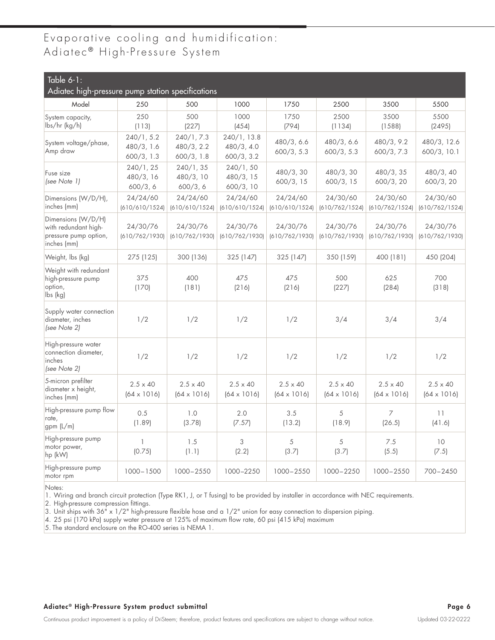## Evaporative cooling and humidification: Adiatec<sup>®</sup> High-Pressure System

| Table $6-1$ :<br>Adiatec high-pressure pump station specifications                 |                                        |                                        |                                         |                                       |                                       |                                       |                                       |
|------------------------------------------------------------------------------------|----------------------------------------|----------------------------------------|-----------------------------------------|---------------------------------------|---------------------------------------|---------------------------------------|---------------------------------------|
| Model                                                                              | 250                                    | 500                                    | 1000                                    | 1750                                  | 2500                                  | 3500                                  | 5500                                  |
| System capacity,<br>lbs/hr (kg/h)                                                  | 250<br>(113)                           | 500<br>(227)                           | 1000<br>(454)                           | 1750<br>(794)                         | 2500<br>(1134)                        | 3500<br>(1588)                        | 5500<br>(2495)                        |
| System voltage/phase,<br>Amp draw                                                  | 240/1, 5.2<br>480/3, 1.6<br>600/3, 1.3 | 240/1, 7.3<br>480/3, 2.2<br>600/3, 1.8 | 240/1, 13.8<br>480/3, 4.0<br>600/3, 3.2 | 480/3, 6.6<br>600/3, 5.3              | 480/3, 6.6<br>600/3, 5.3              | 480/3, 9.2<br>600/3, 7.3              | 480/3, 12.6<br>600/3, 10.1            |
| Fuse size<br>(see Note 1)                                                          | 240/1, 25<br>480/3, 16<br>600/3, 6     | 240/1, 35<br>480/3, 10<br>600/3, 6     | 240/1, 50<br>480/3, 15<br>600/3, 10     | 480/3,30<br>600/3, 15                 | 480/3, 30<br>600/3, 15                | 480/3, 35<br>600/3, 20                | 480/3, 40<br>600/3, 20                |
| Dimensions (W/D/H),<br>inches (mm)                                                 | 24/24/60<br>(610/610/1524)             | 24/24/60<br>(610/610/1524)             | 24/24/60<br>(610/610/1524)              | 24/24/60<br>(610/610/1524)            | 24/30/60<br>(610/762/1524)            | 24/30/60<br>(610/762/1524)            | 24/30/60<br>(610/762/1524)            |
| Dimensions (W/D/H)<br>with redundant high-<br>pressure pump option,<br>inches (mm) | 24/30/76<br>(610/762/1930)             | 24/30/76<br>(610/762/1930)             | 24/30/76<br>(610/762/1930)              | 24/30/76<br>(610/762/1930)            | 24/30/76<br>(610/762/1930)            | 24/30/76<br>(610/762/1930)            | 24/30/76<br>(610/762/1930)            |
| Weight, Ibs (kg)                                                                   | 275 (125)                              | 300 (136)                              | 325 (147)                               | 325 (147)                             | 350 (159)                             | 400 (181)                             | 450 (204)                             |
| Weight with redundant<br>high-pressure pump<br>option,<br>lbs (kg)                 | 375<br>(170)                           | 400<br>(181)                           | 475<br>(216)                            | 475<br>(216)                          | 500<br>(227)                          | 625<br>(284)                          | 700<br>(318)                          |
| Supply water connection<br>diameter, inches<br>(see Note 2)                        | 1/2                                    | 1/2                                    | 1/2                                     | 1/2                                   | 3/4                                   | 3/4                                   | 3/4                                   |
| High-pressure water<br>connection diameter,<br>inches<br>(see Note 2)              | 1/2                                    | 1/2                                    | 1/2                                     | 1/2                                   | 1/2                                   | 1/2                                   | 1/2                                   |
| 5-micron prefilter<br>diameter x height,<br>inches (mm)                            | $2.5 \times 40$<br>$(64 \times 1016)$  | $2.5 \times 40$<br>$(64 \times 1016)$  | $2.5 \times 40$<br>$(64 \times 1016)$   | $2.5 \times 40$<br>$(64 \times 1016)$ | $2.5 \times 40$<br>$(64 \times 1016)$ | $2.5 \times 40$<br>$(64 \times 1016)$ | $2.5 \times 40$<br>$(64 \times 1016)$ |
| High-pressure pump flow<br>rate,<br>gpm (L/m)                                      | 0.5<br>(1.89)                          | 1.0<br>(3.78)                          | 2.0<br>(7.57)                           | 3.5<br>(13.2)                         | 5<br>(18.9)                           | 7<br>(26.5)                           | 11<br>(41.6)                          |
| High-pressure pump<br>motor power,<br>hp (kW)                                      | $\mathbf{1}$<br>(0.75)                 | 1.5<br>(1.1)                           | 3<br>(2.2)                              | 5<br>(3.7)                            | 5<br>(3.7)                            | 7.5<br>(5.5)                          | 10<br>(7.5)                           |
| High-pressure pump<br>motor rpm                                                    | $1000 - 1500$                          | 1000-2550                              | 1000-2250                               | 1000-2550                             | 1000-2250                             | 1000-2550                             | 700-2450                              |

Notes:

1. Wiring and branch circuit protection (Type RK1, J, or T fusing) to be provided by installer in accordance with NEC requirements.

2. High-pressure compression fittings.

3. Unit ships with 36" x 1/2" high-pressure flexible hose and a 1/2" union for easy connection to dispersion piping.

4. 25 psi (170 kPa) supply water pressure at 125% of maximum flow rate, 60 psi (415 kPa) maximum

5. The standard enclosure on the RO-400 series is NEMA 1.

#### Adiatec® High-Pressure System product submittal and the state of the state of the state of the Page 6 (Adiatec® High-Pressure System product submittal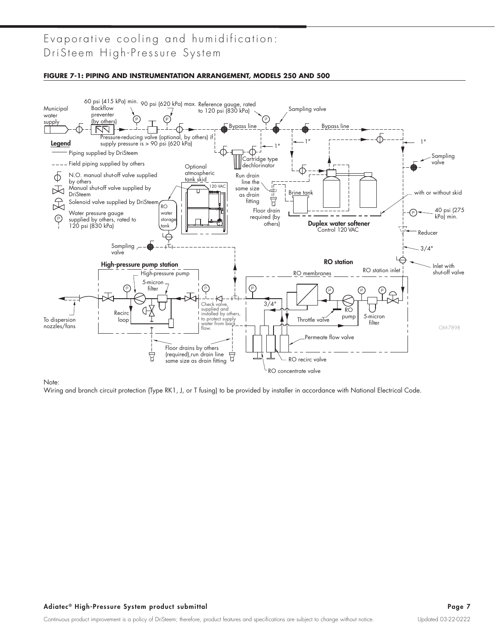#### **FIGURE 7-1: PIPING AND INSTRUMENTATION ARRANGEMENT, MODELS 250 AND 500**



Note:

Wiring and branch circuit protection (Type RK1, J, or T fusing) to be provided by installer in accordance with National Electrical Code.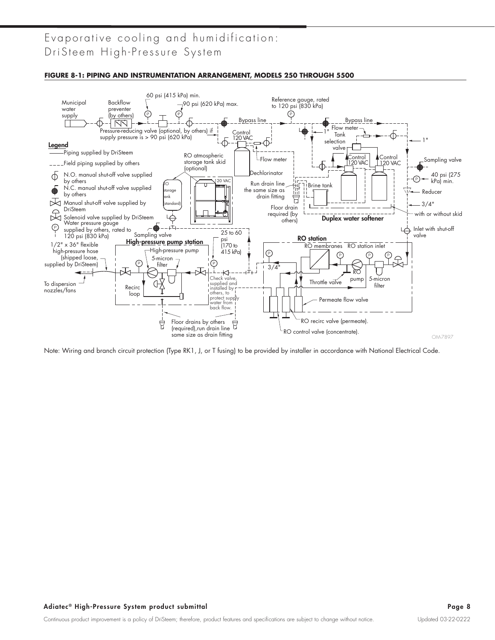

**FIGURE 8-1: PIPING AND INSTRUMENTATION ARRANGEMENT, MODELS 250 THROUGH 5500**

Note: Wiring and branch circuit protection (Type RK1, J, or T fusing) to be provided by installer in accordance with National Electrical Code.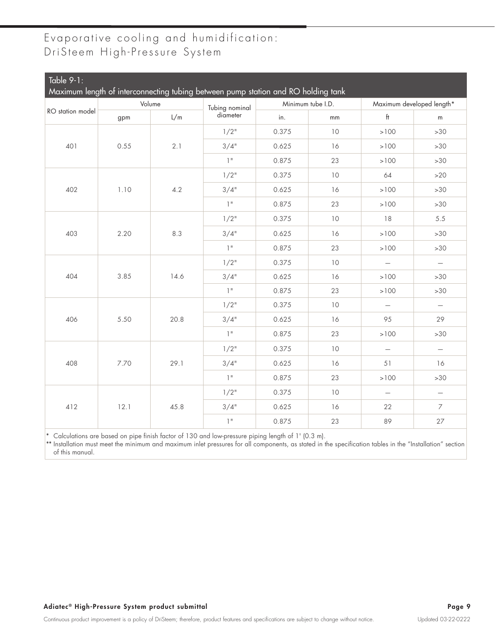| $Table 9-1:$     |      |        |                                                                                   |       |                   |                           |                          |
|------------------|------|--------|-----------------------------------------------------------------------------------|-------|-------------------|---------------------------|--------------------------|
|                  |      |        | Maximum length of interconnecting tubing between pump station and RO holding tank |       |                   |                           |                          |
| RO station model |      | Volume | Tubing nominal                                                                    |       | Minimum tube I.D. | Maximum developed length* |                          |
|                  | gpm  | L/m    | diameter                                                                          | in.   | $\mathsf{mm}$     | H                         | m                        |
|                  |      |        | $1/2$ "                                                                           | 0.375 | 10                | $>100$                    | $>30$                    |
| 401              | 0.55 | 2.1    | 3/4"                                                                              | 0.625 | 16                | $>100$                    | $>30$                    |
|                  |      |        | 1 <sup>11</sup>                                                                   | 0.875 | 23                | $>100$                    | >30                      |
|                  |      |        | $1/2$ "                                                                           | 0.375 | 10                | 64                        | >20                      |
| 402              | 1.10 | 4.2    | 3/4"                                                                              | 0.625 | 16                | >100                      | >30                      |
|                  |      |        | 1 <sup>11</sup>                                                                   | 0.875 | 23                | >100                      | >30                      |
|                  |      |        | $1/2$ "                                                                           | 0.375 | 10                | 18                        | 5.5                      |
| 403              | 2.20 | 8.3    | 3/4"                                                                              | 0.625 | 16                | $>100$                    | $>30$                    |
|                  |      |        | $1^{\rm u}$                                                                       | 0.875 | 23                | $>100$                    | $>30$                    |
|                  |      |        | $1/2$ "                                                                           | 0.375 | $10$              | $\overline{\phantom{m}}$  | $\overline{\phantom{0}}$ |
| 404              | 3.85 | 14.6   | 3/4"                                                                              | 0.625 | 16                | $>100$                    | >30                      |
|                  |      |        | $1$ $\!$                                                                          | 0.875 | 23                | $>100$                    | $>30$                    |
|                  |      |        | $1/2$ "                                                                           | 0.375 | 10                | $\overline{\phantom{m}}$  | $\overline{\phantom{m}}$ |
| 406              | 5.50 | 20.8   | 3/4"                                                                              | 0.625 | 16                | 95                        | 29                       |
|                  |      |        | 1 <sup>11</sup>                                                                   | 0.875 | 23                | >100                      | >30                      |
|                  |      |        | $1/2$ "                                                                           | 0.375 | 10                | $\overline{\phantom{m}}$  | $\overline{\phantom{0}}$ |
| 408              | 7.70 | 29.1   | 3/4"                                                                              | 0.625 | 16                | 51                        | 16                       |
|                  |      |        | 1"                                                                                | 0.875 | 23                | >100                      | >30                      |
|                  |      |        | $1/2$ "                                                                           | 0.375 | 10                | $\overline{\phantom{m}}$  | $\overline{\phantom{m}}$ |
| 412              | 12.1 | 45.8   | 3/4"                                                                              | 0.625 | 16                | 22                        | $\overline{\phantom{a}}$ |
|                  |      |        | $1^{\rm u}$                                                                       | 0.875 | 23                | 89                        | 27                       |

\* Calculations are based on pipe finish factor of 130 and low-pressure piping length of 1' (0.3 m).

\*\* Installation must meet the minimum and maximum inlet pressures for all components, as stated in the specification tables in the "Installation" section of this manual.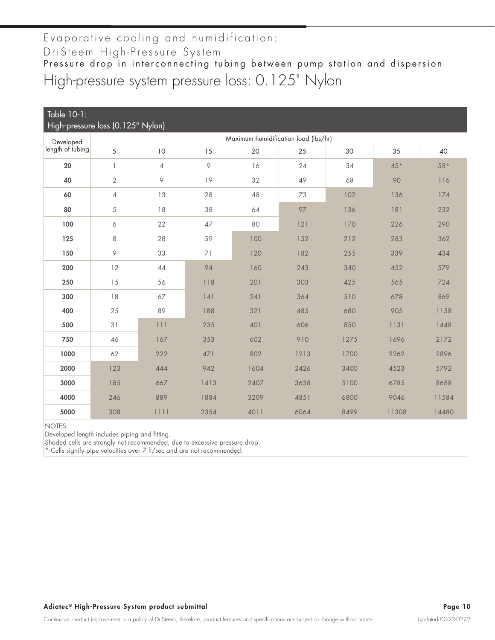DriSteem High-Pressure System

Pressure drop in interconnecting tubing between pump station and dispersion High-pressure system pressure loss: 0.125" Nylon

| Table 10-1:                       |                |                |           |                                      |      |      |       |       |
|-----------------------------------|----------------|----------------|-----------|--------------------------------------|------|------|-------|-------|
| High-pressure loss (0.125" Nylon) |                |                |           |                                      |      |      |       |       |
| Developed                         |                |                |           | Maximum humidification load (lbs/hr) |      |      |       |       |
| length of tubing                  | 5              | 10             | 15        | 20                                   | 25   | 30   | 35    | 40    |
| 20                                | $\mathbb{I}$   | $\overline{4}$ | $\varphi$ | 16                                   | 24   | 34   | $45*$ | $58*$ |
| 40                                | $\sqrt{2}$     | 9              | 19        | 32                                   | 49   | 68   | 90    | 116   |
| 60                                | $\overline{4}$ | 13             | 28        | 48                                   | 73   | 102  | 136   | 174   |
| 80                                | 5              | 18             | 38        | 64                                   | 97   | 136  | 181   | 232   |
| 100                               | 6              | 22             | 47        | 80                                   | 121  | 170  | 226   | 290   |
| 125                               | 8              | 28             | 59        | 100                                  | 152  | 212  | 283   | 362   |
| 150                               | 9              | 33             | 71        | 120                                  | 182  | 255  | 339   | 434   |
| 200                               | 12             | 44             | 94        | 160                                  | 243  | 340  | 452   | 579   |
| 250                               | 15             | 56             | 118       | 201                                  | 303  | 425  | 565   | 724   |
| 300                               | $18$           | 67             | 141       | 241                                  | 364  | 510  | 678   | 869   |
| 400                               | 25             | 89             | 188       | 321                                  | 485  | 680  | 905   | 1158  |
| 500                               | 31             | 111            | 235       | 401                                  | 606  | 850  | 1131  | 1448  |
| 750                               | 46             | 167            | 353       | 602                                  | 910  | 1275 | 1696  | 2172  |
| 1000                              | 62             | 222            | 471       | 802                                  | 1213 | 1700 | 2262  | 2896  |
| 2000                              | 123            | 444            | 942       | 1604                                 | 2426 | 3400 | 4523  | 5792  |
| 3000                              | 185            | 667            | 1413      | 2407                                 | 3638 | 5100 | 6785  | 8688  |
| 4000                              | 246            | 889            | 1884      | 3209                                 | 4851 | 6800 | 9046  | 11584 |
| 5000                              | 308            | 1111           | 2354      | 4011                                 | 6064 | 8499 | 11308 | 14480 |

NOTES:

Developed length includes piping and fitting.

Shaded cells are strongly not recommended, due to excessive pressure drop.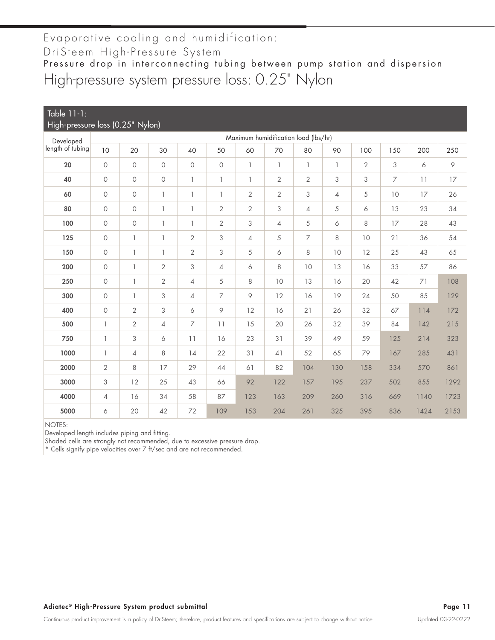### Evaporative cooling and humidification: DriSteem High-Pressure System Pressure drop in interconnecting tubing between pump station and dispersion High-pressure system pressure loss: 0.25" Nylon

| Table 11-1:<br>High-pressure loss (0.25" Nylon)<br>Maximum humidification load (lbs/hr) |                |                     |                |                |                |                          |                           |                          |                |                |                |      |      |
|-----------------------------------------------------------------------------------------|----------------|---------------------|----------------|----------------|----------------|--------------------------|---------------------------|--------------------------|----------------|----------------|----------------|------|------|
| Developed                                                                               |                |                     |                |                |                |                          |                           |                          |                |                |                |      |      |
| length of tubing                                                                        | 10             | 20                  | 30             | 40             | 50             | 60                       | 70                        | 80                       | 90             | 100            | 150            | 200  | 250  |
| 20                                                                                      | $\circ$        | $\mathsf O$         | 0              | $\circ$        | $\circ$        | $\overline{\phantom{a}}$ | 1                         | $\overline{\phantom{a}}$ | 1              | $\overline{2}$ | 3              | 6    | 9    |
| 40                                                                                      | $\circ$        | $\mathsf O$         | $\bigcirc$     | $\mathbf{1}$   | $\mathbf{1}$   | $\mathbb{I}$             | $\overline{2}$            | $\mathbf{2}$             | 3              | 3              | $\overline{7}$ | 11   | 17   |
| 60                                                                                      | $\circ$        | $\circ$             | $\mathbf{1}$   | $\mathbf{1}$   | 1              | $\mathbf{2}$             | $\overline{2}$            | 3                        | $\overline{4}$ | 5              | 10             | 17   | 26   |
| 80                                                                                      | $\circ$        | $\circlearrowright$ | $\mathbf{1}$   | $\mathbf{1}$   | $\mathbf{2}$   | $\mathbf{2}$             | $\ensuremath{\mathsf{3}}$ | $\overline{4}$           | 5              | 6              | 13             | 23   | 34   |
| 100                                                                                     | $\circ$        | $\bigcirc$          | $\mathbf{1}$   | $\mathbf{1}$   | $\mathbf{2}$   | 3                        | $\overline{4}$            | 5                        | 6              | 8              | 17             | 28   | 43   |
| 125                                                                                     | $\circ$        | $\mathbb{I}$        | $\mathbb{I}$   | $\overline{2}$ | 3              | $\overline{4}$           | 5                         | $\overline{7}$           | 8              | 10             | 21             | 36   | 54   |
| 150                                                                                     | $\circ$        | $\mathbb{I}$        | $\mathbb{I}$   | $\overline{2}$ | 3              | 5                        | 6                         | 8                        | 10             | 12             | 25             | 43   | 65   |
| 200                                                                                     | $\circ$        | $\mathbb{I}$        | $\overline{2}$ | $\mathfrak 3$  | 4              | 6                        | 8                         | 10                       | 13             | 16             | 33             | 57   | 86   |
| 250                                                                                     | $\circ$        | $\mathbb{I}$        | $\overline{2}$ | $\overline{4}$ | 5              | 8                        | 10                        | 13                       | 16             | 20             | 42             | 71   | 108  |
| 300                                                                                     | $\circ$        | $\mathbb{I}$        | 3              | $\overline{4}$ | $\overline{7}$ | 9                        | 12                        | 16                       | 19             | 24             | 50             | 85   | 129  |
| 400                                                                                     | $\circ$        | $\mathbf{2}$        | 3              | 6              | 9              | 12                       | 16                        | 21                       | 26             | 32             | 67             | 114  | 172  |
| 500                                                                                     | $\mathbf{1}$   | $\mathbf{2}$        | 4              | 7              | 11             | 15                       | 20                        | 26                       | 32             | 39             | 84             | 142  | 215  |
| 750                                                                                     | $\mathbb{I}$   | 3                   | 6              | 11             | 16             | 23                       | 31                        | 39                       | 49             | 59             | 125            | 214  | 323  |
| 1000                                                                                    | $\mathbb{I}$   | 4                   | 8              | 14             | 22             | 31                       | 41                        | 52                       | 65             | 79             | 167            | 285  | 431  |
| 2000                                                                                    | $\mathbf{2}$   | 8                   | 17             | 29             | 44             | 61                       | 82                        | 104                      | 130            | 158            | 334            | 570  | 861  |
| 3000                                                                                    | 3              | 12                  | 25             | 43             | 66             | 92                       | 122                       | 157                      | 195            | 237            | 502            | 855  | 1292 |
| 4000                                                                                    | $\overline{4}$ | 16                  | 34             | 58             | 87             | 123                      | 163                       | 209                      | 260            | 316            | 669            | 1140 | 1723 |
| 5000                                                                                    | 6              | 20                  | 42             | 72             | 109            | 153                      | 204                       | 261                      | 325            | 395            | 836            | 1424 | 2153 |

NOTES:

Developed length includes piping and fitting.

Shaded cells are strongly not recommended, due to excessive pressure drop.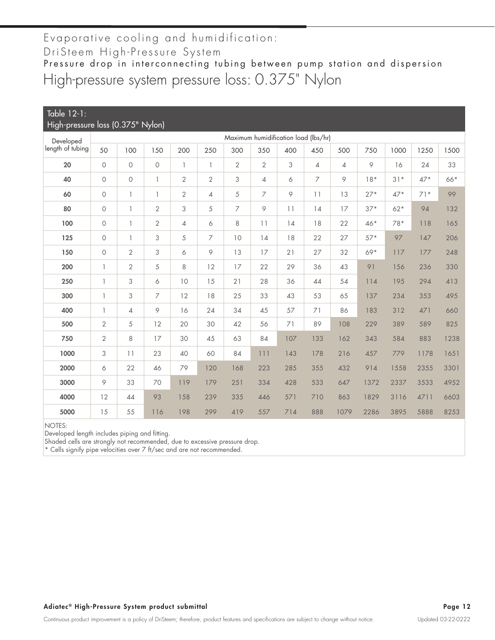DriSteem High-Pressure System

Pressure drop in interconnecting tubing between pump station and dispersion High-pressure system pressure loss: 0.375" Nylon

| Table 12-1:<br>High-pressure loss (0.375" Nylon) |                |                          |                     |                |                |                |                |                                      |                |                |       |       |       |      |
|--------------------------------------------------|----------------|--------------------------|---------------------|----------------|----------------|----------------|----------------|--------------------------------------|----------------|----------------|-------|-------|-------|------|
| Developed                                        |                |                          |                     |                |                |                |                | Maximum humidification load (lbs/hr) |                |                |       |       |       |      |
| length of tubing                                 | 50             | 100                      | 150                 | 200            | 250            | 300            | 350            | 400                                  | 450            | 500            | 750   | 1000  | 1250  | 1500 |
| 20                                               | $\circ$        | $\circ$                  | $\circlearrowright$ | $\mathbf{1}$   | 1              | $\overline{2}$ | $\overline{2}$ | 3                                    | $\overline{4}$ | $\overline{4}$ | 9     | 16    | 24    | 33   |
| 40                                               | $\circ$        | $\circ$                  | $\mathbf{1}$        | $\overline{2}$ | $\overline{2}$ | 3              | $\overline{4}$ | 6                                    | 7              | 9              | $18*$ | $31*$ | $47*$ | 66*  |
| 60                                               | $\circ$        | $\overline{\phantom{a}}$ | 1                   | $\overline{2}$ | 4              | 5              | $\overline{7}$ | 9                                    | 11             | 13             | $27*$ | $47*$ | $71*$ | 99   |
| 80                                               | $\circ$        | $\overline{\phantom{a}}$ | $\mathbf{2}$        | 3              | 5              | $\overline{7}$ | 9              | 11                                   | 14             | 17             | $37*$ | $62*$ | 94    | 132  |
| 100                                              | $\circ$        | $\mathbf{1}$             | $\mathbf{2}$        | 4              | 6              | 8              | 11             | 14                                   | 18             | 22             | $46*$ | $78*$ | 118   | 165  |
| 125                                              | $\circ$        | $\mathbf{1}$             | 3                   | 5              | 7              | 10             | 14             | 18                                   | 22             | 27             | $57*$ | 97    | 147   | 206  |
| 150                                              | $\circ$        | $\overline{2}$           | 3                   | 6              | 9              | 13             | 17             | 21                                   | 27             | 32             | 69*   | 117   | 177   | 248  |
| 200                                              | $\mathbb{I}$   | $\overline{2}$           | 5                   | 8              | 12             | 17             | 22             | 29                                   | 36             | 43             | 91    | 156   | 236   | 330  |
| 250                                              | $\mathbb{I}$   | 3                        | 6                   | 10             | 15             | 21             | 28             | 36                                   | 44             | 54             | 114   | 195   | 294   | 413  |
| 300                                              | $\mathbb{I}$   | 3                        | 7                   | 12             | 18             | 25             | 33             | 43                                   | 53             | 65             | 137   | 234   | 353   | 495  |
| 400                                              | $\mathbb{I}$   | $\overline{\mathcal{A}}$ | 9                   | 16             | 24             | 34             | 45             | 57                                   | 71             | 86             | 183   | 312   | 471   | 660  |
| 500                                              | $\mathbf{2}$   | 5                        | 12                  | 20             | 30             | 42             | 56             | 71                                   | 89             | 108            | 229   | 389   | 589   | 825  |
| 750                                              | $\overline{2}$ | 8                        | 17                  | 30             | 45             | 63             | 84             | 107                                  | 133            | 162            | 343   | 584   | 883   | 1238 |
| 1000                                             | 3              | 11                       | 23                  | 40             | 60             | 84             | 111            | 143                                  | 178            | 216            | 457   | 779   | 1178  | 1651 |
| 2000                                             | 6              | 22                       | 46                  | 79             | 120            | 168            | 223            | 285                                  | 355            | 432            | 914   | 1558  | 2355  | 3301 |
| 3000                                             | 9              | 33                       | 70                  | 119            | 179            | 251            | 334            | 428                                  | 533            | 647            | 1372  | 2337  | 3533  | 4952 |
| 4000                                             | 12             | 44                       | 93                  | 158            | 239            | 335            | 446            | 571                                  | 710            | 863            | 1829  | 3116  | 4711  | 6603 |
| 5000                                             | 15             | 55                       | 116                 | 198            | 299            | 419            | 557            | 714                                  | 888            | 1079           | 2286  | 3895  | 5888  | 8253 |

NOTES:

Developed length includes piping and fitting.

Shaded cells are strongly not recommended, due to excessive pressure drop.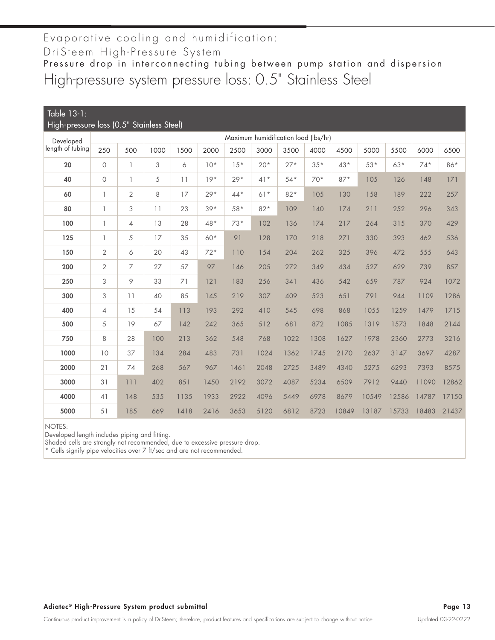DriSteem High-Pressure System

High-pressure system pressure loss: 0.5" Stainless Steel Pressure drop in interconnecting tubing between pump station and dispersion

| Table 13-1:<br>High-pressure loss (0.5" Stainless Steel) |                                      |                |      |      |       |       |       |       |       |       |       |       |       |       |
|----------------------------------------------------------|--------------------------------------|----------------|------|------|-------|-------|-------|-------|-------|-------|-------|-------|-------|-------|
|                                                          | Maximum humidification load (lbs/hr) |                |      |      |       |       |       |       |       |       |       |       |       |       |
| Developed<br>length of tubing                            | 250                                  | 500            | 1000 | 1500 | 2000  | 2500  | 3000  | 3500  | 4000  | 4500  | 5000  | 5500  | 6000  | 6500  |
| 20                                                       | $\circ$                              | $\mathbb{I}$   | 3    | 6    | $10*$ | $15*$ | $20*$ | $27*$ | $35*$ | 43*   | $53*$ | $63*$ | $74*$ | 86*   |
| 40                                                       | $\circ$                              | $\mathbb{I}$   | 5    | 11   | $19*$ | $29*$ | $41*$ | $54*$ | $70*$ | $87*$ | 105   | 126   | 148   | 171   |
| 60                                                       | 1                                    | $\overline{2}$ | 8    | 17   | $29*$ | $44*$ | $61*$ | $82*$ | 105   | 130   | 158   | 189   | 222   | 257   |
| 80                                                       | 1                                    | 3              | 11   | 23   | $39*$ | $58*$ | $82*$ | 109   | 140   | 174   | 211   | 252   | 296   | 343   |
| 100                                                      | 1                                    | $\overline{4}$ | 13   | 28   | 48*   | $73*$ | 102   | 136   | 174   | 217   | 264   | 315   | 370   | 429   |
| 125                                                      | 1                                    | 5              | 17   | 35   | 60*   | 91    | 128   | 170   | 218   | 271   | 330   | 393   | 462   | 536   |
| 150                                                      | $\mathbf{2}$                         | 6              | 20   | 43   | $72*$ | 110   | 154   | 204   | 262   | 325   | 396   | 472   | 555   | 643   |
| 200                                                      | $\overline{2}$                       | 7              | 27   | 57   | 97    | 146   | 205   | 272   | 349   | 434   | 527   | 629   | 739   | 857   |
| 250                                                      | 3                                    | 9              | 33   | 71   | 121   | 183   | 256   | 341   | 436   | 542   | 659   | 787   | 924   | 1072  |
| 300                                                      | 3                                    | 11             | 40   | 85   | 145   | 219   | 307   | 409   | 523   | 651   | 791   | 944   | 1109  | 1286  |
| 400                                                      | $\overline{4}$                       | 15             | 54   | 113  | 193   | 292   | 410   | 545   | 698   | 868   | 1055  | 1259  | 1479  | 1715  |
| 500                                                      | 5                                    | 19             | 67   | 142  | 242   | 365   | 512   | 681   | 872   | 1085  | 1319  | 1573  | 1848  | 2144  |
| 750                                                      | 8                                    | 28             | 100  | 213  | 362   | 548   | 768   | 1022  | 1308  | 1627  | 1978  | 2360  | 2773  | 3216  |
| 1000                                                     | 10                                   | 37             | 134  | 284  | 483   | 731   | 1024  | 1362  | 1745  | 2170  | 2637  | 3147  | 3697  | 4287  |
| 2000                                                     | 21                                   | 74             | 268  | 567  | 967   | 1461  | 2048  | 2725  | 3489  | 4340  | 5275  | 6293  | 7393  | 8575  |
| 3000                                                     | 31                                   | 111            | 402  | 851  | 1450  | 2192  | 3072  | 4087  | 5234  | 6509  | 7912  | 9440  | 11090 | 12862 |
| 4000                                                     | 41                                   | 148            | 535  | 1135 | 1933  | 2922  | 4096  | 5449  | 6978  | 8679  | 10549 | 12586 | 14787 | 17150 |
| 5000                                                     | 51                                   | 185            | 669  | 1418 | 2416  | 3653  | 5120  | 6812  | 8723  | 10849 | 13187 | 15733 | 18483 | 21437 |

NOTES:

Developed length includes piping and fitting.

Shaded cells are strongly not recommended, due to excessive pressure drop.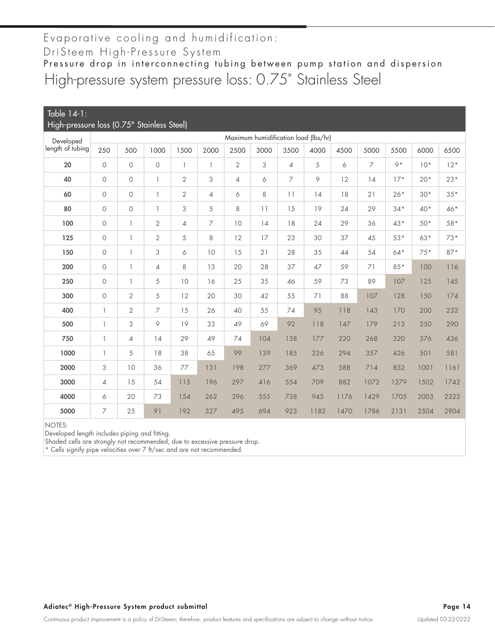# High-pressure system pressure loss: 0.75" Stainless Steel Evaporative cooling and humidification: DriSteem High-Pressure System Pressure drop in interconnecting tubing between pump station and dispersion

| Table 14-1:<br>High-pressure loss (0.75" Stainless Steel) |                          |                          |                |                |                |                |      |                |                                      |      |      |       |       |       |
|-----------------------------------------------------------|--------------------------|--------------------------|----------------|----------------|----------------|----------------|------|----------------|--------------------------------------|------|------|-------|-------|-------|
| Developed                                                 |                          |                          |                |                |                |                |      |                | Maximum humidification load (lbs/hr) |      |      |       |       |       |
| length of tubing                                          | 250                      | 500                      | 1000           | 1500           | 2000           | 2500           | 3000 | 3500           | 4000                                 | 4500 | 5000 | 5500  | 6000  | 6500  |
| 20                                                        | $\circ$                  | $\Omega$                 | $\circ$        | $\mathbb{I}$   | 1              | $\overline{2}$ | 3    | $\overline{4}$ | 5                                    | 6    | 7    | $Q*$  | $10*$ | $12*$ |
| 40                                                        | $\circ$                  | $\circ$                  | $\mathbf{1}$   | $\overline{2}$ | 3              | $\overline{4}$ | 6    | 7              | 9                                    | 12   | 14   | $17*$ | $20*$ | $23*$ |
| 60                                                        | $\circ$                  | $\Omega$                 | $\mathbf{1}$   | $\overline{2}$ | $\overline{4}$ | 6              | 8    | 11             | 14                                   | 18   | 21   | $26*$ | $30*$ | $35*$ |
| 80                                                        | $\circ$                  | $\circ$                  | $\mathbf{1}$   | 3              | $\sqrt{5}$     | 8              | 11   | 15             | 19                                   | 24   | 29   | $34*$ | 40*   | $46*$ |
| 100                                                       | $\circlearrowright$      | $\mathbf{1}$             | $\sqrt{2}$     | $\overline{4}$ | 7              | 10             | 14   | 18             | 24                                   | 29   | 36   | 43*   | $50*$ | 58*   |
| 125                                                       | $\circ$                  | $\mathbf{1}$             | $\mathbf{2}$   | 5              | 8              | 12             | 17   | 23             | 30                                   | 37   | 45   | $53*$ | $63*$ | $73*$ |
| 150                                                       | $\circ$                  | $\overline{\phantom{a}}$ | 3              | 6              | 10             | 15             | 21   | 28             | 35                                   | 44   | 54   | $64*$ | $75*$ | $87*$ |
| 200                                                       | $\circ$                  | 1                        | 4              | 8              | 13             | 20             | 28   | 37             | 47                                   | 59   | 71   | $85*$ | 100   | 116   |
| 250                                                       | $\circ$                  | 1                        | 5              | 10             | 16             | 25             | 35   | 46             | 59                                   | 73   | 89   | 107   | 125   | 145   |
| 300                                                       | $\circ$                  | $\overline{2}$           | 5              | 12             | 20             | 30             | 42   | 55             | 71                                   | 88   | 107  | 128   | 150   | 174   |
| 400                                                       | $\overline{1}$           | $\overline{2}$           | $\overline{7}$ | 15             | 26             | 40             | 55   | 74             | 95                                   | 118  | 143  | 170   | 200   | 232   |
| 500                                                       | $\overline{\phantom{a}}$ | 3                        | 9              | 19             | 33             | 49             | 69   | 92             | 118                                  | 147  | 179  | 213   | 250   | 290   |
| 750                                                       | $\overline{\phantom{a}}$ | $\overline{4}$           | 14             | 29             | 49             | 74             | 104  | 138            | 177                                  | 220  | 268  | 320   | 376   | 436   |
| 1000                                                      | 1                        | 5                        | 18             | 38             | 65             | 99             | 139  | 185            | 236                                  | 294  | 357  | 426   | 501   | 581   |
| 2000                                                      | 3                        | 10                       | 36             | 77             | 131            | 198            | 277  | 369            | 473                                  | 588  | 714  | 852   | 1001  | 1161  |
| 3000                                                      | $\overline{4}$           | 15                       | 54             | 115            | 196            | 297            | 416  | 554            | 709                                  | 882  | 1072 | 1279  | 1502  | 1742  |
| 4000                                                      | 6                        | 20                       | 73             | 154            | 262            | 396            | 555  | 738            | 945                                  | 1176 | 1429 | 1705  | 2003  | 2323  |
| 5000                                                      | 7                        | 25                       | 91             | 192            | 327            | 495            | 694  | 923            | 1182                                 | 1470 | 1786 | 2131  | 2504  | 2904  |

NOTES:

Developed length includes piping and fitting.

Shaded cells are strongly not recommended, due to excessive pressure drop.